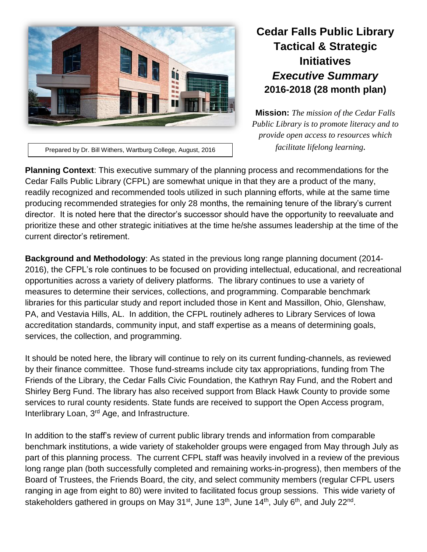

## **Cedar Falls Public Library Tactical & Strategic Initiatives** *Executive Summary* **2016-2018 (28 month plan)**

**Mission:** *The mission of the Cedar Falls Public Library is to promote literacy and to provide open access to resources which facilitate lifelong learning.*

Prepared by Dr. Bill Withers, Wartburg College, August, 2016

**Planning Context**: This executive summary of the planning process and recommendations for the Cedar Falls Public Library (CFPL) are somewhat unique in that they are a product of the many, readily recognized and recommended tools utilized in such planning efforts, while at the same time producing recommended strategies for only 28 months, the remaining tenure of the library's current director. It is noted here that the director's successor should have the opportunity to reevaluate and prioritize these and other strategic initiatives at the time he/she assumes leadership at the time of the current director's retirement.

**Background and Methodology**: As stated in the previous long range planning document (2014- 2016), the CFPL's role continues to be focused on providing intellectual, educational, and recreational opportunities across a variety of delivery platforms. The library continues to use a variety of measures to determine their services, collections, and programming. Comparable benchmark libraries for this particular study and report included those in Kent and Massillon, Ohio, Glenshaw, PA, and Vestavia Hills, AL. In addition, the CFPL routinely adheres to Library Services of Iowa accreditation standards, community input, and staff expertise as a means of determining goals, services, the collection, and programming.

It should be noted here, the library will continue to rely on its current funding-channels, as reviewed by their finance committee. Those fund-streams include city tax appropriations, funding from The Friends of the Library, the Cedar Falls Civic Foundation, the Kathryn Ray Fund, and the Robert and Shirley Berg Fund. The library has also received support from Black Hawk County to provide some services to rural county residents. State funds are received to support the Open Access program, Interlibrary Loan, 3rd Age, and Infrastructure.

In addition to the staff's review of current public library trends and information from comparable benchmark institutions, a wide variety of stakeholder groups were engaged from May through July as part of this planning process. The current CFPL staff was heavily involved in a review of the previous long range plan (both successfully completed and remaining works-in-progress), then members of the Board of Trustees, the Friends Board, the city, and select community members (regular CFPL users ranging in age from eight to 80) were invited to facilitated focus group sessions. This wide variety of stakeholders gathered in groups on May 31<sup>st</sup>, June 13<sup>th</sup>, June 14<sup>th</sup>, July 6<sup>th</sup>, and July 22<sup>nd</sup>.